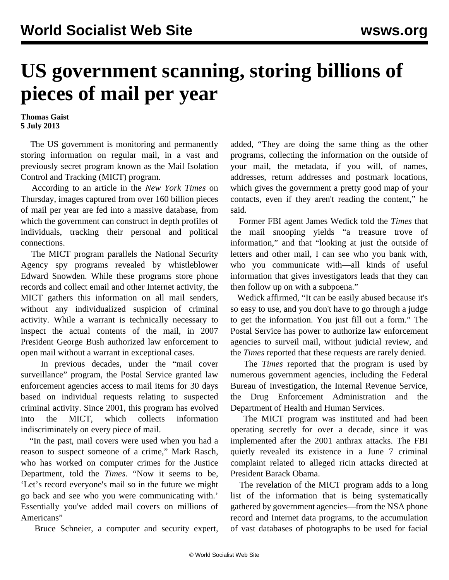## **US government scanning, storing billions of pieces of mail per year**

**Thomas Gaist 5 July 2013**

 The US government is monitoring and permanently storing information on regular mail, in a vast and previously secret program known as the Mail Isolation Control and Tracking (MICT) program.

 According to an article in the *New York Times* on Thursday, images captured from over 160 billion pieces of mail per year are fed into a massive database, from which the government can construct in depth profiles of individuals, tracking their personal and political connections.

 The MICT program parallels the National Security Agency spy programs revealed by whistleblower Edward Snowden. While these programs store phone records and collect email and other Internet activity, the MICT gathers this information on all mail senders, without any individualized suspicion of criminal activity. While a warrant is technically necessary to inspect the actual contents of the mail, in 2007 President George Bush authorized law enforcement to open mail without a warrant in exceptional cases.

 In previous decades, under the "mail cover surveillance" program, the Postal Service granted law enforcement agencies access to mail items for 30 days based on individual requests relating to suspected criminal activity. Since 2001, this program has evolved into the MICT, which collects information indiscriminately on every piece of mail.

 "In the past, mail covers were used when you had a reason to suspect someone of a crime," Mark Rasch, who has worked on computer crimes for the Justice Department, told the *Times.* "Now it seems to be, 'Let's record everyone's mail so in the future we might go back and see who you were communicating with.' Essentially you've added mail covers on millions of Americans"

Bruce Schneier, a computer and security expert,

added, "They are doing the same thing as the other programs, collecting the information on the outside of your mail, the metadata, if you will, of names, addresses, return addresses and postmark locations, which gives the government a pretty good map of your contacts, even if they aren't reading the content," he said.

 Former FBI agent James Wedick told the *Times* that the mail snooping yields "a treasure trove of information," and that "looking at just the outside of letters and other mail, I can see who you bank with, who you communicate with—all kinds of useful information that gives investigators leads that they can then follow up on with a subpoena."

 Wedick affirmed, "It can be easily abused because it's so easy to use, and you don't have to go through a judge to get the information. You just fill out a form." The Postal Service has power to authorize law enforcement agencies to surveil mail, without judicial review, and the *Times* reported that these requests are rarely denied.

 The *Times* reported that the program is used by numerous government agencies, including the Federal Bureau of Investigation, the Internal Revenue Service, the Drug Enforcement Administration and the Department of Health and Human Services.

 The MICT program was instituted and had been operating secretly for over a decade, since it was implemented after the 2001 anthrax attacks. The FBI quietly revealed its existence in a June 7 criminal complaint related to alleged ricin attacks directed at President Barack Obama.

 The revelation of the MICT program adds to a long list of the information that is being systematically gathered by government agencies—from the NSA phone record and Internet data programs, to the accumulation of vast databases of photographs to be used for facial